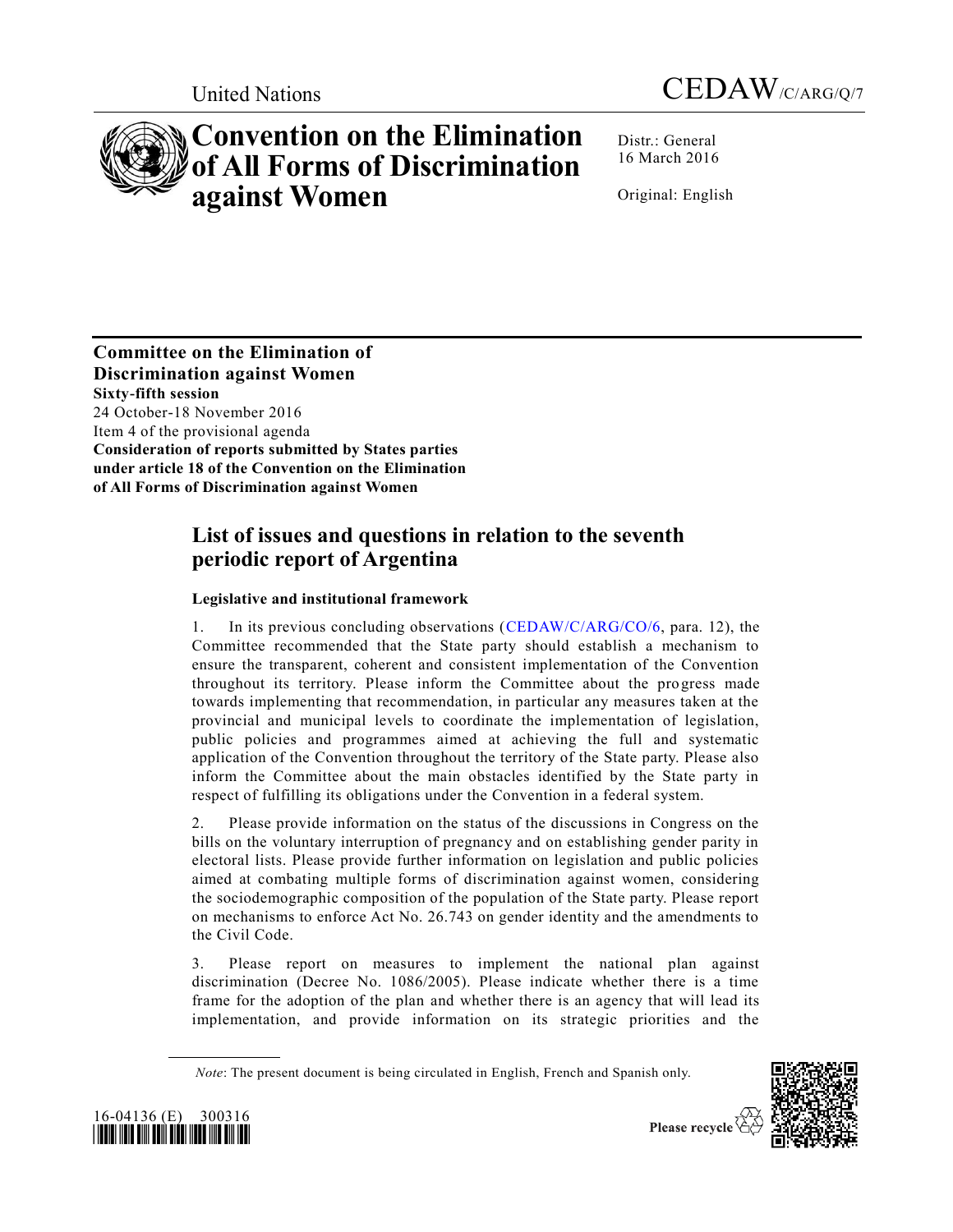



# **Convention on the Elimination of All Forms of Discrimination against Women**

Distr.: General 16 March 2016

Original: English

**Committee on the Elimination of Discrimination against Women Sixty-fifth session**  24 October-18 November 2016 Item 4 of the provisional agenda **Consideration of reports submitted by States parties under article 18 of the Convention on the Elimination of All Forms of Discrimination against Women** 

## **List of issues and questions in relation to the seventh periodic report of Argentina**

### **Legislative and institutional framework**

1. In its previous concluding observations [\(CEDAW/C/ARG/CO/6,](http://undocs.org/CEDAW/C/ARG/CO/6) para. 12), the Committee recommended that the State party should establish a mechanism to ensure the transparent, coherent and consistent implementation of the Convention throughout its territory. Please inform the Committee about the progress made towards implementing that recommendation, in particular any measures taken at the provincial and municipal levels to coordinate the implementation of legislation, public policies and programmes aimed at achieving the full and systematic application of the Convention throughout the territory of the State party. Please also inform the Committee about the main obstacles identified by the State party in respect of fulfilling its obligations under the Convention in a federal system.

2. Please provide information on the status of the discussions in Congress on the bills on the voluntary interruption of pregnancy and on establishing gender parity in electoral lists. Please provide further information on legislation and public policies aimed at combating multiple forms of discrimination against women, considering the sociodemographic composition of the population of the State party. Please report on mechanisms to enforce Act No. 26.743 on gender identity and the amendments to the Civil Code.

3. Please report on measures to implement the national plan against discrimination (Decree No. 1086/2005). Please indicate whether there is a time frame for the adoption of the plan and whether there is an agency that will lead its implementation, and provide information on its strategic priorities and the

*Note*: The present document is being circulated in English, French and Spanish only.



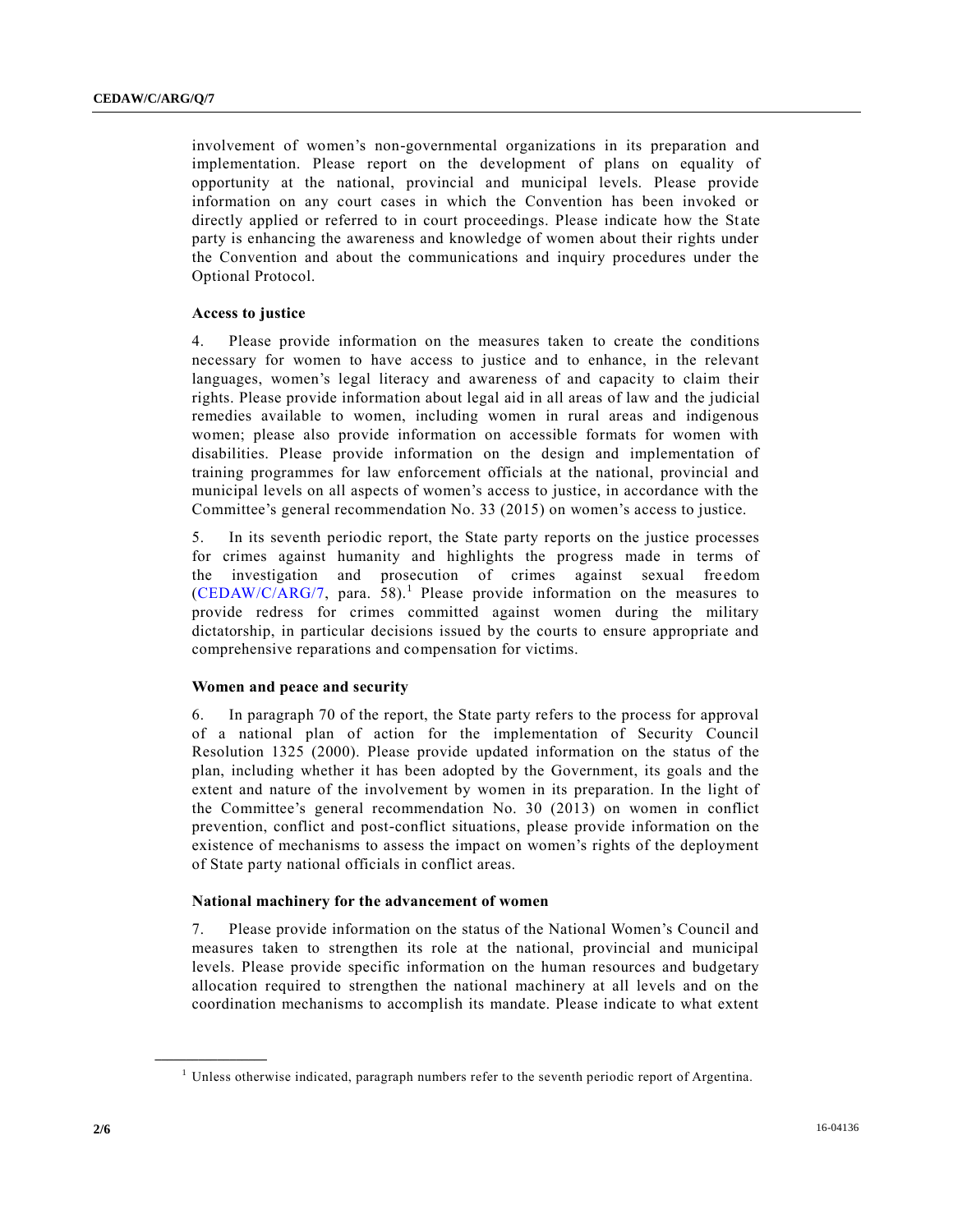involvement of women's non-governmental organizations in its preparation and implementation. Please report on the development of plans on equality of opportunity at the national, provincial and municipal levels. Please provide information on any court cases in which the Convention has been invoked or directly applied or referred to in court proceedings. Please indicate how the State party is enhancing the awareness and knowledge of women about their rights under the Convention and about the communications and inquiry procedures under the Optional Protocol.

#### **Access to justice**

4. Please provide information on the measures taken to create the conditions necessary for women to have access to justice and to enhance, in the relevant languages, women's legal literacy and awareness of and capacity to claim their rights. Please provide information about legal aid in all areas of law and the judicial remedies available to women, including women in rural areas and indigenous women; please also provide information on accessible formats for women with disabilities. Please provide information on the design and implementation of training programmes for law enforcement officials at the national, provincial and municipal levels on all aspects of women's access to justice, in accordance with the Committee's general recommendation No. 33 (2015) on women's access to justice.

5. In its seventh periodic report, the State party reports on the justice processes for crimes against humanity and highlights the progress made in terms of the investigation and prosecution of crimes against sexual fre edom  $(CEDAW/C/ARG/7,$  para. 58).<sup>1</sup> Please provide information on the measures to provide redress for crimes committed against women during the military dictatorship, in particular decisions issued by the courts to ensure appropriate and comprehensive reparations and compensation for victims.

#### **Women and peace and security**

6. In paragraph 70 of the report, the State party refers to the process for approval of a national plan of action for the implementation of Security Council Resolution 1325 (2000). Please provide updated information on the status of the plan, including whether it has been adopted by the Government, its goals and the extent and nature of the involvement by women in its preparation. In the light of the Committee's general recommendation No. 30 (2013) on women in conflict prevention, conflict and post-conflict situations, please provide information on the existence of mechanisms to assess the impact on women's rights of the deployment of State party national officials in conflict areas.

#### **National machinery for the advancement of women**

7. Please provide information on the status of the National Women's Council and measures taken to strengthen its role at the national, provincial and municipal levels. Please provide specific information on the human resources and budgetary allocation required to strengthen the national machinery at all levels and on the coordination mechanisms to accomplish its mandate. Please indicate to what extent

**\_\_\_\_\_\_\_\_\_\_\_\_\_\_\_\_\_\_**

<sup>&</sup>lt;sup>1</sup> Unless otherwise indicated, paragraph numbers refer to the seventh periodic report of Argentina.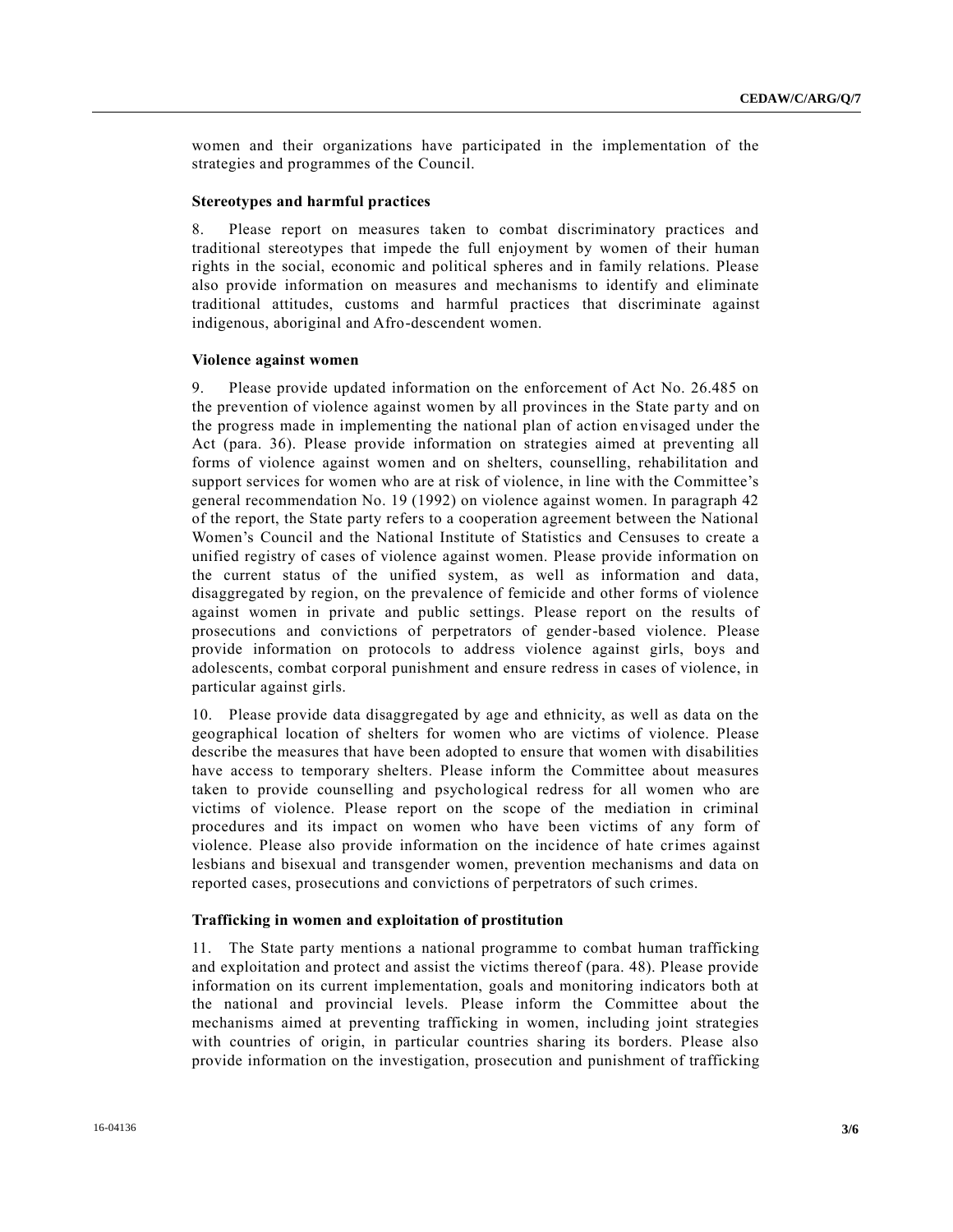women and their organizations have participated in the implementation of the strategies and programmes of the Council.

#### **Stereotypes and harmful practices**

8. Please report on measures taken to combat discriminatory practices and traditional stereotypes that impede the full enjoyment by women of their human rights in the social, economic and political spheres and in family relations. Please also provide information on measures and mechanisms to identify and eliminate traditional attitudes, customs and harmful practices that discriminate against indigenous, aboriginal and Afro-descendent women.

#### **Violence against women**

9. Please provide updated information on the enforcement of Act No. 26.485 on the prevention of violence against women by all provinces in the State party and on the progress made in implementing the national plan of action envisaged under the Act (para. 36). Please provide information on strategies aimed at preventing all forms of violence against women and on shelters, counselling, rehabilitation and support services for women who are at risk of violence, in line with the Committee's general recommendation No. 19 (1992) on violence against women. In paragraph 42 of the report, the State party refers to a cooperation agreement between the National Women's Council and the National Institute of Statistics and Censuses to create a unified registry of cases of violence against women. Please provide information on the current status of the unified system, as well as information and data, disaggregated by region, on the prevalence of femicide and other forms of violence against women in private and public settings. Please report on the results of prosecutions and convictions of perpetrators of gender-based violence. Please provide information on protocols to address violence against girls, boys and adolescents, combat corporal punishment and ensure redress in cases of violence, in particular against girls.

10. Please provide data disaggregated by age and ethnicity, as well as data on the geographical location of shelters for women who are victims of violence. Please describe the measures that have been adopted to ensure that women with disabilities have access to temporary shelters. Please inform the Committee about measures taken to provide counselling and psychological redress for all women who are victims of violence. Please report on the scope of the mediation in criminal procedures and its impact on women who have been victims of any form of violence. Please also provide information on the incidence of hate crimes against lesbians and bisexual and transgender women, prevention mechanisms and data on reported cases, prosecutions and convictions of perpetrators of such crimes.

#### **Trafficking in women and exploitation of prostitution**

11. The State party mentions a national programme to combat human trafficking and exploitation and protect and assist the victims thereof (para. 48). Please provide information on its current implementation, goals and monitoring indicators both at the national and provincial levels. Please inform the Committee about the mechanisms aimed at preventing trafficking in women, including joint strategies with countries of origin, in particular countries sharing its borders. Please also provide information on the investigation, prosecution and punishment of trafficking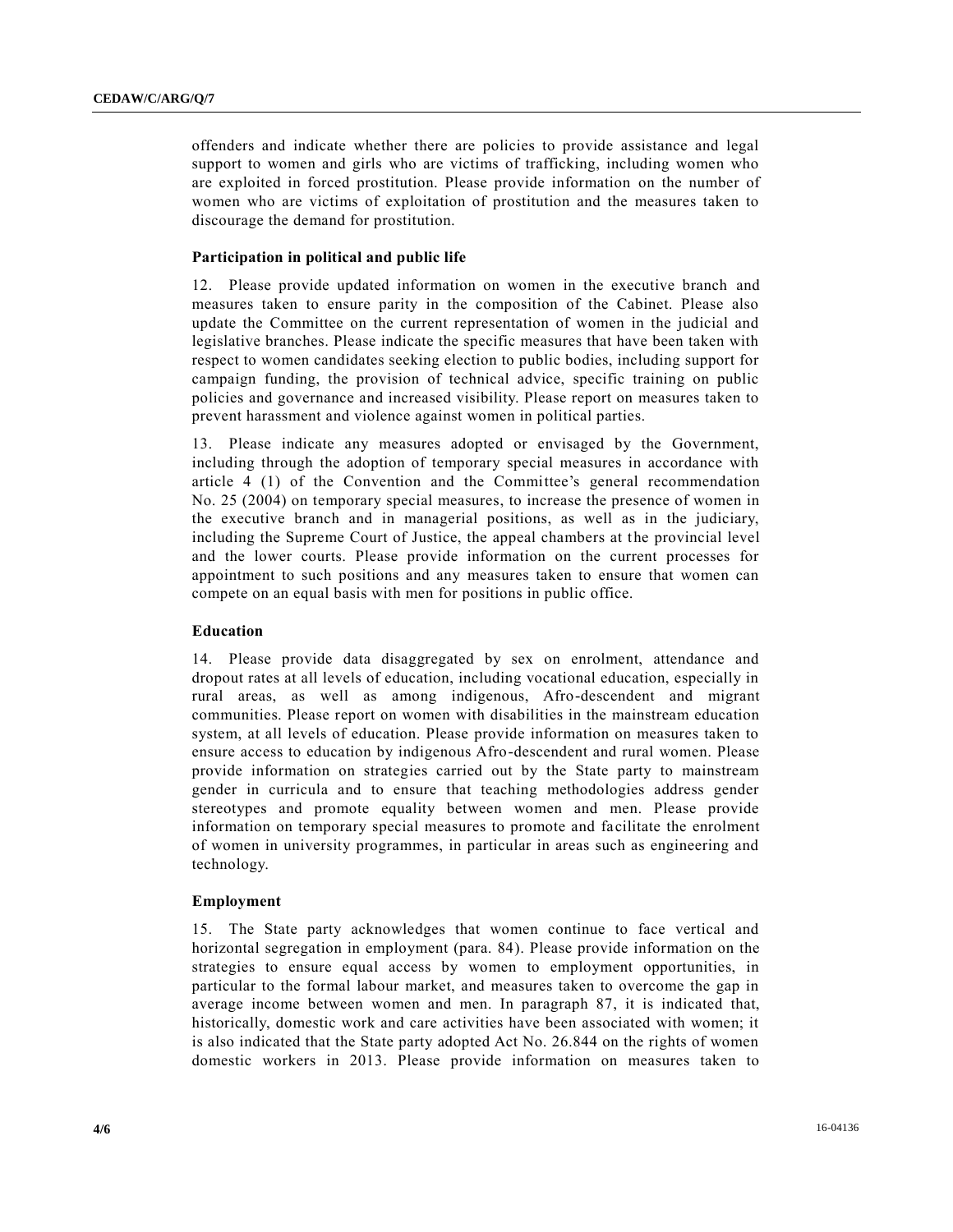offenders and indicate whether there are policies to provide assistance and legal support to women and girls who are victims of trafficking, including women who are exploited in forced prostitution. Please provide information on the number of women who are victims of exploitation of prostitution and the measures taken to discourage the demand for prostitution.

#### **Participation in political and public life**

12. Please provide updated information on women in the executive branch and measures taken to ensure parity in the composition of the Cabinet. Please also update the Committee on the current representation of women in the judicial and legislative branches. Please indicate the specific measures that have been taken with respect to women candidates seeking election to public bodies, including support for campaign funding, the provision of technical advice, specific training on public policies and governance and increased visibility. Please report on measures taken to prevent harassment and violence against women in political parties.

13. Please indicate any measures adopted or envisaged by the Government, including through the adoption of temporary special measures in accordance with article 4 (1) of the Convention and the Committee's general recommendation No. 25 (2004) on temporary special measures, to increase the presence of women in the executive branch and in managerial positions, as well as in the judiciary, including the Supreme Court of Justice, the appeal chambers at the provincial level and the lower courts. Please provide information on the current processes for appointment to such positions and any measures taken to ensure that women can compete on an equal basis with men for positions in public office.

#### **Education**

14. Please provide data disaggregated by sex on enrolment, attendance and dropout rates at all levels of education, including vocational education, especially in rural areas, as well as among indigenous, Afro-descendent and migrant communities. Please report on women with disabilities in the mainstream education system, at all levels of education. Please provide information on measures taken to ensure access to education by indigenous Afro-descendent and rural women. Please provide information on strategies carried out by the State party to mainstream gender in curricula and to ensure that teaching methodologies address gender stereotypes and promote equality between women and men. Please provide information on temporary special measures to promote and facilitate the enrolment of women in university programmes, in particular in areas such as engineering and technology.

#### **Employment**

15. The State party acknowledges that women continue to face vertical and horizontal segregation in employment (para. 84). Please provide information on the strategies to ensure equal access by women to employment opportunities, in particular to the formal labour market, and measures taken to overcome the gap in average income between women and men. In paragraph 87, it is indicated that, historically, domestic work and care activities have been associated with women; it is also indicated that the State party adopted Act No. 26.844 on the rights of women domestic workers in 2013. Please provide information on measures taken to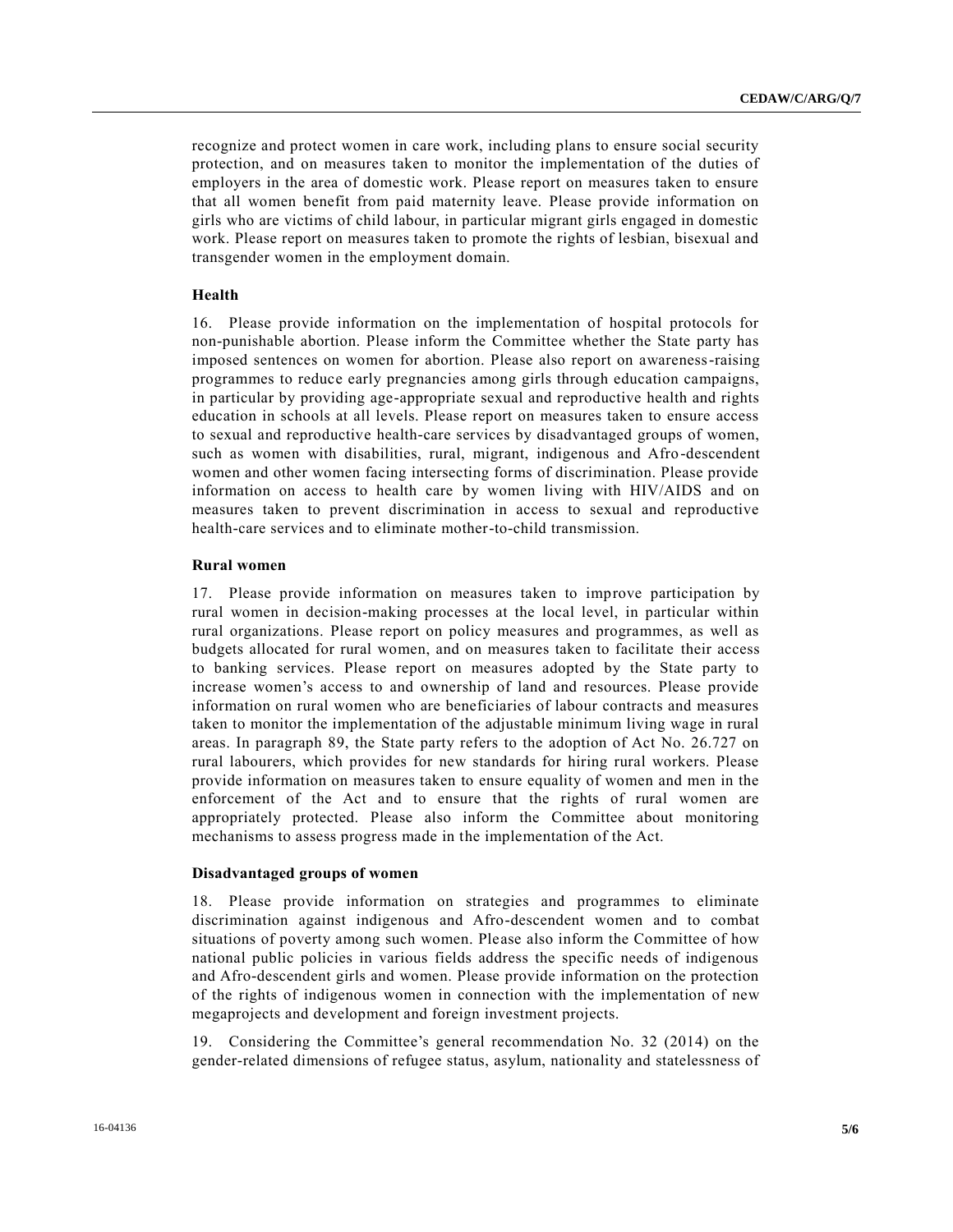recognize and protect women in care work, including plans to ensure social security protection, and on measures taken to monitor the implementation of the duties of employers in the area of domestic work. Please report on measures taken to ensure that all women benefit from paid maternity leave. Please provide information on girls who are victims of child labour, in particular migrant girls engaged in domestic work. Please report on measures taken to promote the rights of lesbian, bisexual and transgender women in the employment domain.

#### **Health**

16. Please provide information on the implementation of hospital protocols for non-punishable abortion. Please inform the Committee whether the State party has imposed sentences on women for abortion. Please also report on awareness-raising programmes to reduce early pregnancies among girls through education campaigns, in particular by providing age-appropriate sexual and reproductive health and rights education in schools at all levels. Please report on measures taken to ensure access to sexual and reproductive health-care services by disadvantaged groups of women, such as women with disabilities, rural, migrant, indigenous and Afro-descendent women and other women facing intersecting forms of discrimination. Please provide information on access to health care by women living with HIV/AIDS and on measures taken to prevent discrimination in access to sexual and reproductive health-care services and to eliminate mother-to-child transmission.

#### **Rural women**

17. Please provide information on measures taken to improve participation by rural women in decision-making processes at the local level, in particular within rural organizations. Please report on policy measures and programmes, as well as budgets allocated for rural women, and on measures taken to facilitate their access to banking services. Please report on measures adopted by the State party to increase women's access to and ownership of land and resources. Please provide information on rural women who are beneficiaries of labour contracts and measures taken to monitor the implementation of the adjustable minimum living wage in rural areas. In paragraph 89, the State party refers to the adoption of Act No. 26.727 on rural labourers, which provides for new standards for hiring rural workers. Please provide information on measures taken to ensure equality of women and men in the enforcement of the Act and to ensure that the rights of rural women are appropriately protected. Please also inform the Committee about monitoring mechanisms to assess progress made in the implementation of the Act.

#### **Disadvantaged groups of women**

18. Please provide information on strategies and programmes to eliminate discrimination against indigenous and Afro-descendent women and to combat situations of poverty among such women. Please also inform the Committee of how national public policies in various fields address the specific needs of indigenous and Afro-descendent girls and women. Please provide information on the protection of the rights of indigenous women in connection with the implementation of new megaprojects and development and foreign investment projects.

19. Considering the Committee's general recommendation No. 32 (2014) on the gender-related dimensions of refugee status, asylum, nationality and statelessness of